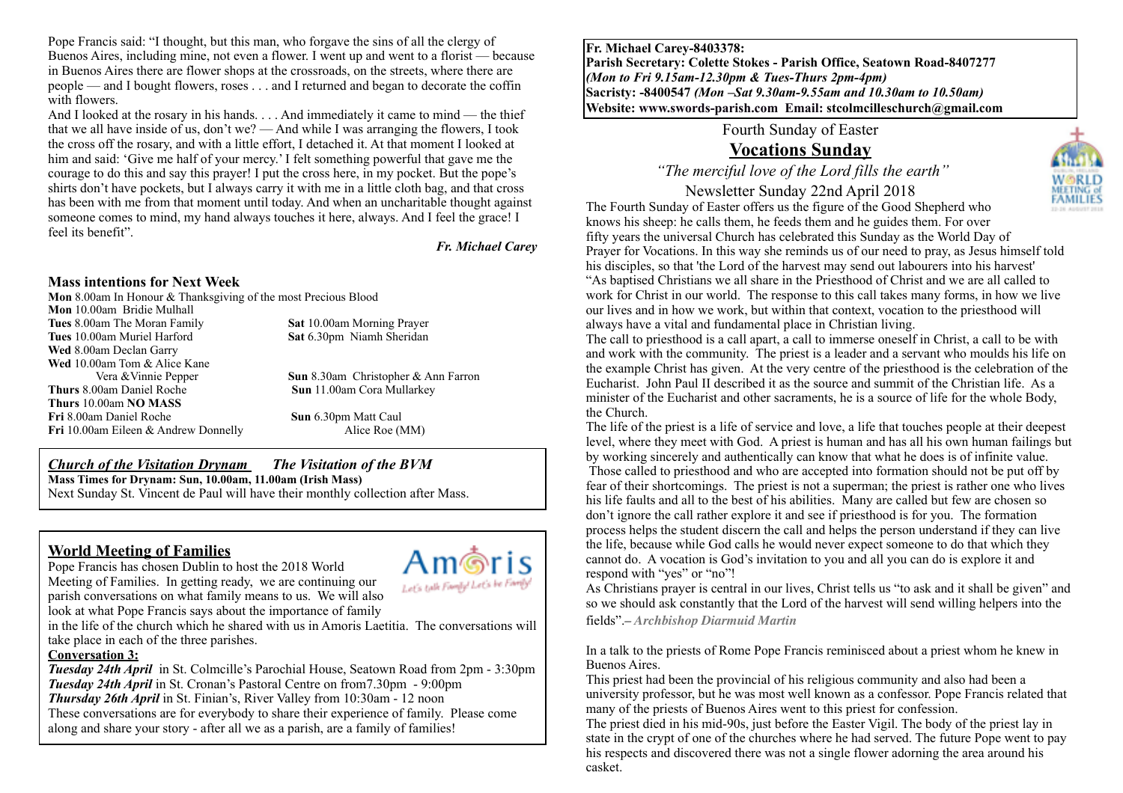Pope Francis said: "I thought, but this man, who forgave the sins of all the clergy of Buenos Aires, including mine, not even a flower. I went up and went to a florist — because in Buenos Aires there are flower shops at the crossroads, on the streets, where there are people — and I bought flowers, roses . . . and I returned and began to decorate the coffin with flowers.

And I looked at the rosary in his hands. . . . And immediately it came to mind — the thief that we all have inside of us, don't we? — And while I was arranging the flowers, I took the cross off the rosary, and with a little effort, I detached it. At that moment I looked at him and said: 'Give me half of your mercy.' I felt something powerful that gave me the courage to do this and say this prayer! I put the cross here, in my pocket. But the pope's shirts don't have pockets, but I always carry it with me in a little cloth bag, and that cross has been with me from that moment until today. And when an uncharitable thought against someone comes to mind, my hand always touches it here, always. And I feel the grace! I feel its benefit".

#### *Fr. Michael Carey*

#### **Mass intentions for Next Week**

**Mon** 8.00am In Honour & Thanksgiving of the most Precious Blood

**Mon** 10.00am Bridie Mulhall **Tues** 8.00am The Moran Family **Sat** 10.00am Morning Prayer **Tues** 10.00am Muriel Harford **Sat** 6.30pm Niamh Sheridan **Wed** 8.00am Declan Garry **Wed** 10.00am Tom & Alice Kane **Thurs** 8.00am Daniel Roche **Sun** 11.00am Cora Mullarkey **Thurs** 10.00am **NO MASS Fri** 8.00am Daniel Roche **Sun** 6.30pm Matt Caul **Fri** 10.00am Eileen & Andrew Donnelly Alice Roe (MM)

Vera &Vinnie Pepper **Sun** 8.30am Christopher & Ann Farron

#### *Church of the Visitation Drynam**The Visitation of the BVM* **Mass Times for Drynam: Sun, 10.00am, 11.00am (Irish Mass)** Next Sunday St. Vincent de Paul will have their monthly collection after Mass.

### **World Meeting of Families**

Pope Francis has chosen Dublin to host the 2018 World Meeting of Families. In getting ready, we are continuing our parish conversations on what family means to us. We will also



look at what Pope Francis says about the importance of family in the life of the church which he shared with us in Amoris Laetitia. The conversations will take place in each of the three parishes.

#### **Conversation 3:**

 $\overline{a}$ 

*Tuesday 24th April* in St. Colmcille's Parochial House, Seatown Road from 2pm - 3:30pm *Tuesday 24th April* in St. Cronan's Pastoral Centre on from7.30pm - 9:00pm *Thursday 26th April* in St. Finian's, River Valley from 10:30am - 12 noon These conversations are for everybody to share their experience of family. Please come along and share your story - after all we as a parish, are a family of families!

**Fr. Michael Carey-8403378: Parish Secretary: Colette Stokes - Parish Office, Seatown Road-8407277**  *(Mon to Fri 9.15am-12.30pm & Tues-Thurs 2pm-4pm)*  **Sacristy: -8400547** *(Mon –Sat 9.30am-9.55am and 10.30am to 10.50am)* **Website: [www.swords-parish.com Email:](http://www.swords-parish.com%20%20email) stcolmcilleschurch@gmail.com**

Fourth Sunday of Easter

# **Vocations Sunday**

 *"The merciful love of the Lord fills the earth"* 

Newsletter Sunday 22nd April 2018



The call to priesthood is a call apart, a call to immerse oneself in Christ, a call to be with and work with the community. The priest is a leader and a servant who moulds his life on the example Christ has given. At the very centre of the priesthood is the celebration of the Eucharist. John Paul II described it as the source and summit of the Christian life. As a minister of the Eucharist and other sacraments, he is a source of life for the whole Body, the Church.

The life of the priest is a life of service and love, a life that touches people at their deepest level, where they meet with God. A priest is human and has all his own human failings but by working sincerely and authentically can know that what he does is of infinite value. Those called to priesthood and who are accepted into formation should not be put off by fear of their shortcomings. The priest is not a superman; the priest is rather one who lives his life faults and all to the best of his abilities. Many are called but few are chosen so don't ignore the call rather explore it and see if priesthood is for you. The formation process helps the student discern the call and helps the person understand if they can live the life, because while God calls he would never expect someone to do that which they cannot do. A vocation is God's invitation to you and all you can do is explore it and respond with "yes" or "no"!

As Christians prayer is central in our lives, Christ tells us "to ask and it shall be given" and so we should ask constantly that the Lord of the harvest will send willing helpers into the fields".*– Archbishop Diarmuid Martin*

In a talk to the priests of Rome Pope Francis reminisced about a priest whom he knew in Buenos Aires.

This priest had been the provincial of his religious community and also had been a university professor, but he was most well known as a confessor. Pope Francis related that many of the priests of Buenos Aires went to this priest for confession.

The priest died in his mid-90s, just before the Easter Vigil. The body of the priest lay in state in the crypt of one of the churches where he had served. The future Pope went to pay his respects and discovered there was not a single flower adorning the area around his casket.